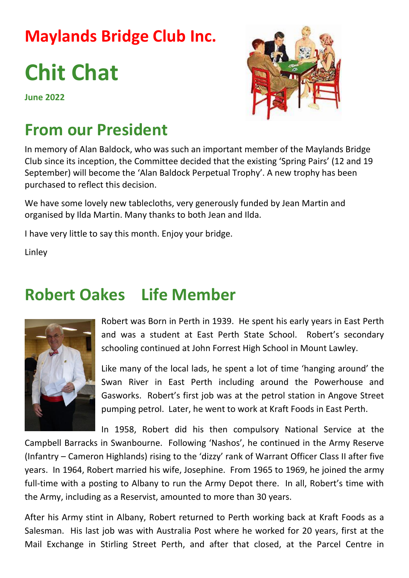## **Maylands Bridge Club Inc.**

# **Chit Chat**

**June 2022**



## **From our President**

In memory of Alan Baldock, who was such an important member of the Maylands Bridge Club since its inception, the Committee decided that the existing 'Spring Pairs' (12 and 19 September) will become the 'Alan Baldock Perpetual Trophy'. A new trophy has been purchased to reflect this decision.

We have some lovely new tablecloths, very generously funded by Jean Martin and organised by Ilda Martin. Many thanks to both Jean and Ilda.

I have very little to say this month. Enjoy your bridge.

Linley

## **Robert Oakes Life Member**



Robert was Born in Perth in 1939. He spent his early years in East Perth and was a student at East Perth State School. Robert's secondary schooling continued at John Forrest High School in Mount Lawley.

Like many of the local lads, he spent a lot of time 'hanging around' the Swan River in East Perth including around the Powerhouse and Gasworks. Robert's first job was at the petrol station in Angove Street pumping petrol. Later, he went to work at Kraft Foods in East Perth.

In 1958, Robert did his then compulsory National Service at the

Campbell Barracks in Swanbourne. Following 'Nashos', he continued in the Army Reserve (Infantry – Cameron Highlands) rising to the 'dizzy' rank of Warrant Officer Class II after five years. In 1964, Robert married his wife, Josephine. From 1965 to 1969, he joined the army full-time with a posting to Albany to run the Army Depot there. In all, Robert's time with the Army, including as a Reservist, amounted to more than 30 years.

After his Army stint in Albany, Robert returned to Perth working back at Kraft Foods as a Salesman. His last job was with Australia Post where he worked for 20 years, first at the Mail Exchange in Stirling Street Perth, and after that closed, at the Parcel Centre in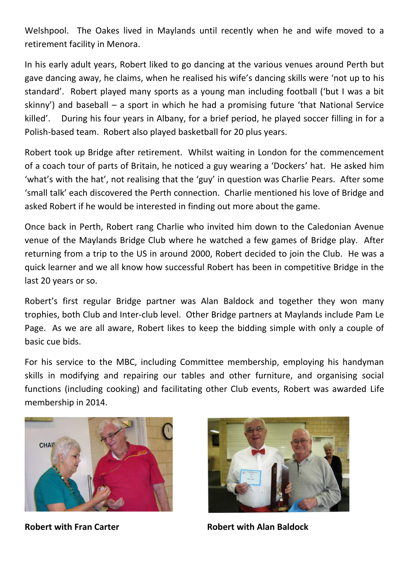Welshpool. The Oakes lived in Maylands until recently when he and wife moved to a retirement facility in Menora.

In his early adult years, Robert liked to go dancing at the various venues around Perth but gave dancing away, he claims, when he realised his wife's dancing skills were 'not up to his standard'. Robert played many sports as a young man including football ('but I was a bit skinny') and baseball – a sport in which he had a promising future 'that National Service killed'. During his four years in Albany, for a brief period, he played soccer filling in for a Polish-based team. Robert also played basketball for 20 plus years.

Robert took up Bridge after retirement. Whilst waiting in London for the commencement of a coach tour of parts of Britain, he noticed a guy wearing a 'Dockers' hat. He asked him 'what's with the hat', not realising that the 'guy' in question was Charlie Pears. After some 'small talk' each discovered the Perth connection. Charlie mentioned his love of Bridge and asked Robert if he would be interested in finding out more about the game.

Once back in Perth, Robert rang Charlie who invited him down to the Caledonian Avenue venue of the Maylands Bridge Club where he watched a few games of Bridge play. After returning from a trip to the US in around 2000, Robert decided to join the Club. He was a quick learner and we all know how successful Robert has been in competitive Bridge in the last 20 years or so.

Robert's first regular Bridge partner was Alan Baldock and together they won many trophies, both Club and Inter-club level. Other Bridge partners at Maylands include Pam Le Page. As we are all aware, Robert likes to keep the bidding simple with only a couple of basic cue bids.

For his service to the MBC, including Committee membership, employing his handyman skills in modifying and repairing our tables and other furniture, and organising social functions (including cooking) and facilitating other Club events, Robert was awarded Life membership in 2014.





**Robert with Fran Carter Nobert with Alan Baldock**